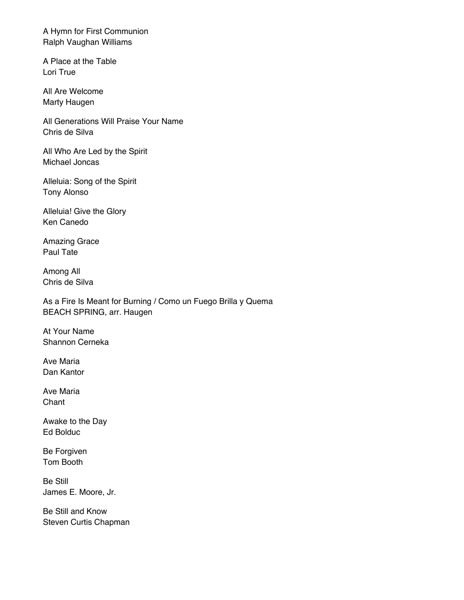A Hymn for First Communion Ralph Vaughan Williams

A Place at the Table Lori True

All Are Welcome Marty Haugen

All Generations Will Praise Your Name Chris de Silva

All Who Are Led by the Spirit Michael Joncas

Alleluia: Song of the Spirit Tony Alonso

Alleluia! Give the Glory Ken Canedo

Amazing Grace Paul Tate

Among All Chris de Silva

As a Fire Is Meant for Burning / Como un Fuego Brilla y Quema BEACH SPRING, arr. Haugen

At Your Name Shannon Cerneka

Ave Maria Dan Kantor

Ave Maria **Chant** 

Awake to the Day Ed Bolduc

Be Forgiven Tom Booth

Be Still James E. Moore, Jr.

Be Still and Know Steven Curtis Chapman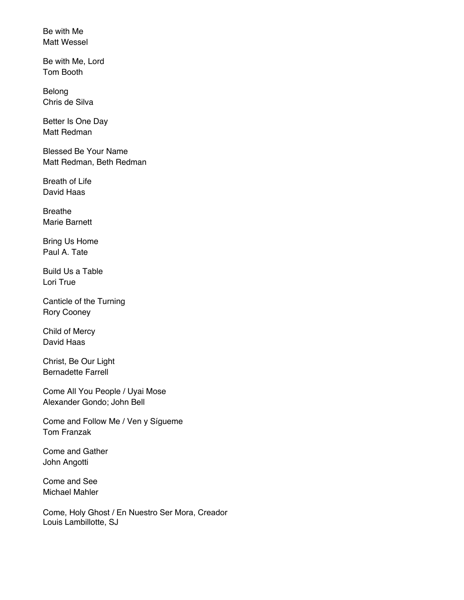Be with Me Matt Wessel

Be with Me, Lord Tom Booth

Belong Chris de Silva

Better Is One Day Matt Redman

Blessed Be Your Name Matt Redman, Beth Redman

Breath of Life David Haas

Breathe Marie Barnett

Bring Us Home Paul A. Tate

Build Us a Table Lori True

Canticle of the Turning Rory Cooney

Child of Mercy David Haas

Christ, Be Our Light Bernadette Farrell

Come All You People / Uyai Mose Alexander Gondo; John Bell

Come and Follow Me / Ven y Sígueme Tom Franzak

Come and Gather John Angotti

Come and See Michael Mahler

Come, Holy Ghost / En Nuestro Ser Mora, Creador Louis Lambillotte, SJ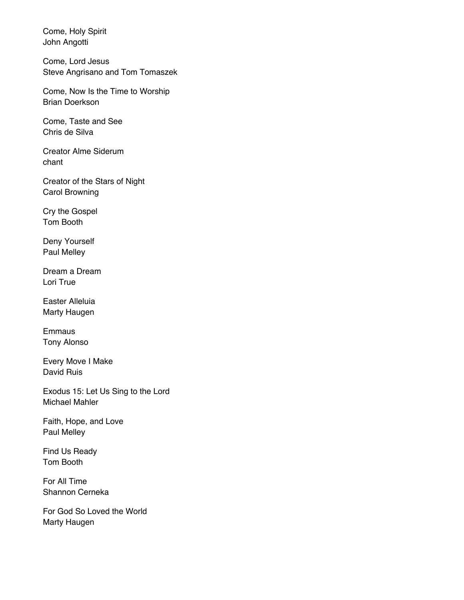Come, Holy Spirit John Angotti

Come, Lord Jesus Steve Angrisano and Tom Tomaszek

Come, Now Is the Time to Worship Brian Doerkson

Come, Taste and See Chris de Silva

Creator Alme Siderum chant

Creator of the Stars of Night Carol Browning

Cry the Gospel Tom Booth

Deny Yourself Paul Melley

Dream a Dream Lori True

Easter Alleluia Marty Haugen

Emmaus Tony Alonso

Every Move I Make David Ruis

Exodus 15: Let Us Sing to the Lord Michael Mahler

Faith, Hope, and Love Paul Melley

Find Us Ready Tom Booth

For All Time Shannon Cerneka

For God So Loved the World Marty Haugen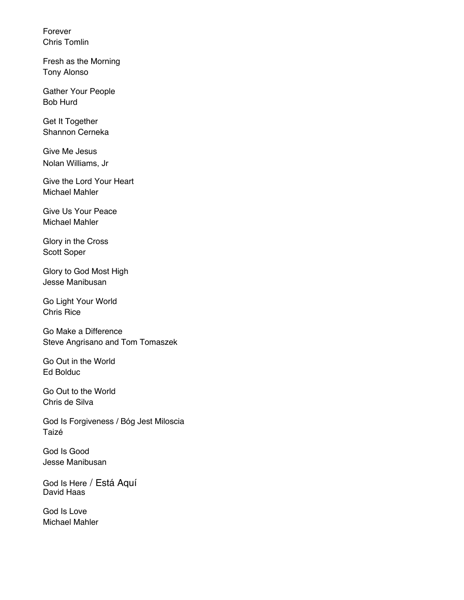Forever Chris Tomlin

Fresh as the Morning Tony Alonso

Gather Your People Bob Hurd

Get It Together Shannon Cerneka

Give Me Jesus Nolan Williams, Jr

Give the Lord Your Heart Michael Mahler

Give Us Your Peace Michael Mahler

Glory in the Cross Scott Soper

Glory to God Most High Jesse Manibusan

Go Light Your World Chris Rice

Go Make a Difference Steve Angrisano and Tom Tomaszek

Go Out in the World Ed Bolduc

Go Out to the World Chris de Silva

God Is Forgiveness / Bóg Jest Miloscia Taizé

God Is Good Jesse Manibusan

God Is Here / Está Aquí David Haas

God Is Love Michael Mahler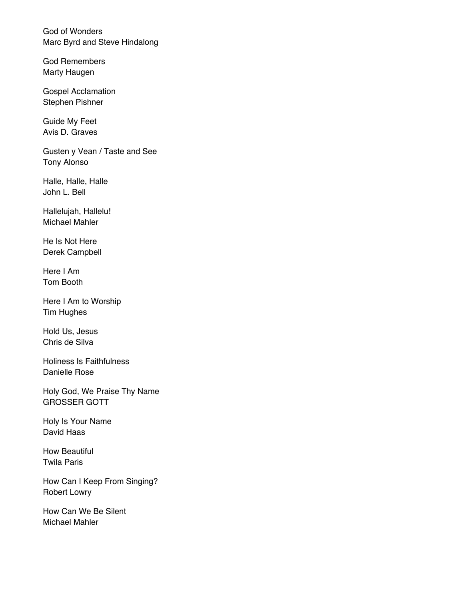God of Wonders Marc Byrd and Steve Hindalong

God Remembers Marty Haugen

Gospel Acclamation Stephen Pishner

Guide My Feet Avis D. Graves

Gusten y Vean / Taste and See Tony Alonso

Halle, Halle, Halle John L. Bell

Hallelujah, Hallelu! Michael Mahler

He Is Not Here Derek Campbell

Here I Am Tom Booth

Here I Am to Worship Tim Hughes

Hold Us, Jesus Chris de Silva

Holiness Is Faithfulness Danielle Rose

Holy God, We Praise Thy Name GROSSER GOTT

Holy Is Your Name David Haas

How Beautiful Twila Paris

How Can I Keep From Singing? Robert Lowry

How Can We Be Silent Michael Mahler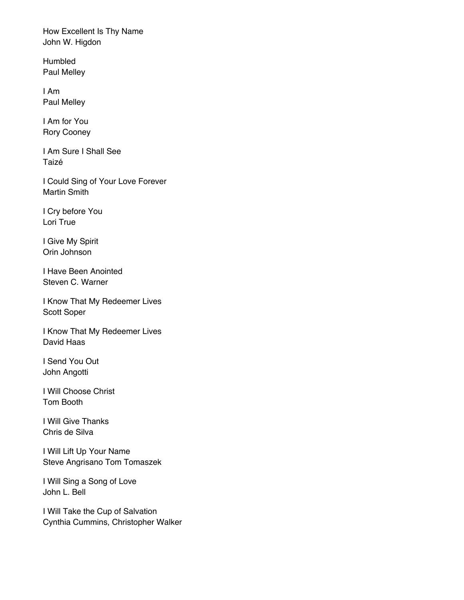How Excellent Is Thy Name John W. Higdon

Humbled Paul Melley

I Am Paul Melley

I Am for You Rory Cooney

I Am Sure I Shall See Taizé

I Could Sing of Your Love Forever Martin Smith

I Cry before You Lori True

I Give My Spirit Orin Johnson

I Have Been Anointed Steven C. Warner

I Know That My Redeemer Lives Scott Soper

I Know That My Redeemer Lives David Haas

I Send You Out John Angotti

I Will Choose Christ Tom Booth

I Will Give Thanks Chris de Silva

I Will Lift Up Your Name Steve Angrisano Tom Tomaszek

I Will Sing a Song of Love John L. Bell

I Will Take the Cup of Salvation Cynthia Cummins, Christopher Walker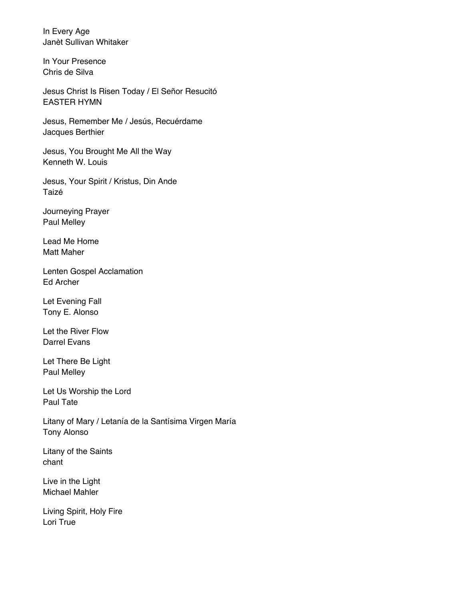In Every Age Janèt Sullivan Whitaker

In Your Presence Chris de Silva

Jesus Christ Is Risen Today / El Señor Resucitó EASTER HYMN

Jesus, Remember Me / Jesús, Recuérdame Jacques Berthier

Jesus, You Brought Me All the Way Kenneth W. Louis

Jesus, Your Spirit / Kristus, Din Ande Taizé

Journeying Prayer Paul Melley

Lead Me Home Matt Maher

Lenten Gospel Acclamation Ed Archer

Let Evening Fall Tony E. Alonso

Let the River Flow Darrel Evans

Let There Be Light Paul Melley

Let Us Worship the Lord Paul Tate

Litany of Mary / Letanía de la Santísima Virgen María Tony Alonso

Litany of the Saints chant

Live in the Light Michael Mahler

Living Spirit, Holy Fire Lori True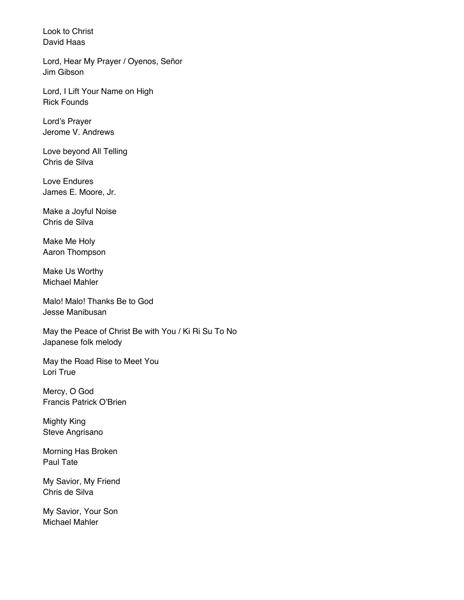Look to Christ David Haas

Lord, Hear My Prayer / Oyenos, Señor Jim Gibson

Lord, I Lift Your Name on High Rick Founds

Lord's Prayer Jerome V. Andrews

Love beyond All Telling Chris de Silva

Love Endures James E. Moore, Jr.

Make a Joyful Noise Chris de Silva

Make Me Holy Aaron Thompson

Make Us Worthy Michael Mahler

Malo! Malo! Thanks Be to God Jesse Manibusan

May the Peace of Christ Be with You / Ki Ri Su To No Japanese folk melody

May the Road Rise to Meet You Lori True

Mercy, O God Francis Patrick O'Brien

Mighty King Steve Angrisano

Morning Has Broken Paul Tate

My Savior, My Friend Chris de Silva

My Savior, Your Son Michael Mahler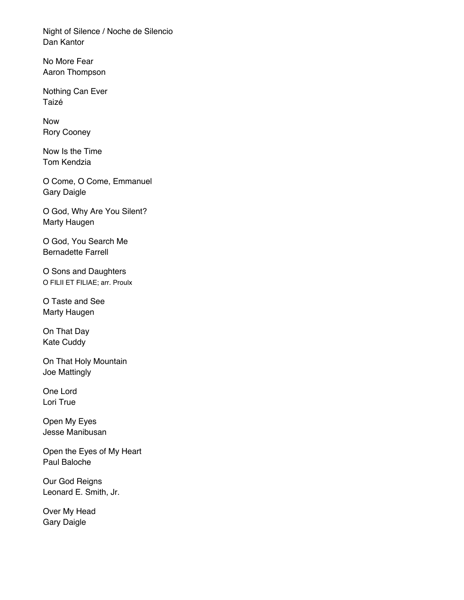Night of Silence / Noche de Silencio Dan Kantor

No More Fear Aaron Thompson

Nothing Can Ever Taizé

Now Rory Cooney

Now Is the Time Tom Kendzia

O Come, O Come, Emmanuel Gary Daigle

O God, Why Are You Silent? Marty Haugen

O God, You Search Me Bernadette Farrell

O Sons and Daughters O FILII ET FILIAE; arr. Proulx

O Taste and See Marty Haugen

On That Day Kate Cuddy

On That Holy Mountain Joe Mattingly

One Lord Lori True

Open My Eyes Jesse Manibusan

Open the Eyes of My Heart Paul Baloche

Our God Reigns Leonard E. Smith, Jr.

Over My Head Gary Daigle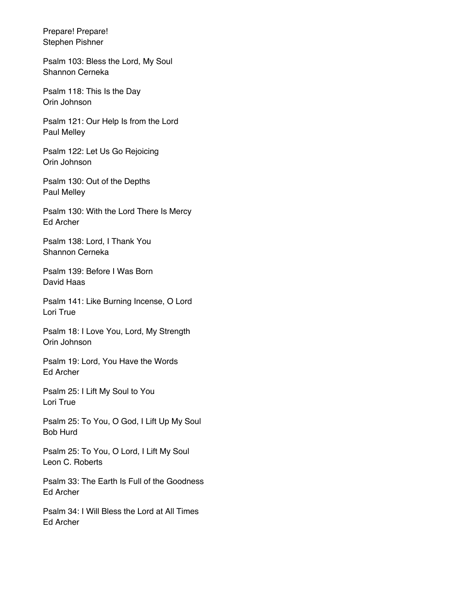Prepare! Prepare! Stephen Pishner

Psalm 103: Bless the Lord, My Soul Shannon Cerneka

Psalm 118: This Is the Day Orin Johnson

Psalm 121: Our Help Is from the Lord Paul Melley

Psalm 122: Let Us Go Rejoicing Orin Johnson

Psalm 130: Out of the Depths Paul Melley

Psalm 130: With the Lord There Is Mercy Ed Archer

Psalm 138: Lord, I Thank You Shannon Cerneka

Psalm 139: Before I Was Born David Haas

Psalm 141: Like Burning Incense, O Lord Lori True

Psalm 18: I Love You, Lord, My Strength Orin Johnson

Psalm 19: Lord, You Have the Words Ed Archer

Psalm 25: I Lift My Soul to You Lori True

Psalm 25: To You, O God, I Lift Up My Soul Bob Hurd

Psalm 25: To You, O Lord, I Lift My Soul Leon C. Roberts

Psalm 33: The Earth Is Full of the Goodness Ed Archer

Psalm 34: I Will Bless the Lord at All Times Ed Archer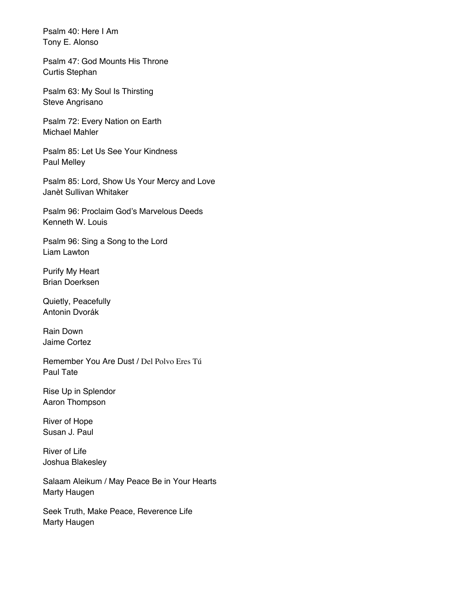Psalm 40: Here I Am Tony E. Alonso

Psalm 47: God Mounts His Throne Curtis Stephan

Psalm 63: My Soul Is Thirsting Steve Angrisano

Psalm 72: Every Nation on Earth Michael Mahler

Psalm 85: Let Us See Your Kindness Paul Melley

Psalm 85: Lord, Show Us Your Mercy and Love Janèt Sullivan Whitaker

Psalm 96: Proclaim God's Marvelous Deeds Kenneth W. Louis

Psalm 96: Sing a Song to the Lord Liam Lawton

Purify My Heart Brian Doerksen

Quietly, Peacefully Antonin Dvorák

Rain Down Jaime Cortez

Remember You Are Dust / Del Polvo Eres Tú Paul Tate

Rise Up in Splendor Aaron Thompson

River of Hope Susan J. Paul

River of Life Joshua Blakesley

Salaam Aleikum / May Peace Be in Your Hearts Marty Haugen

Seek Truth, Make Peace, Reverence Life Marty Haugen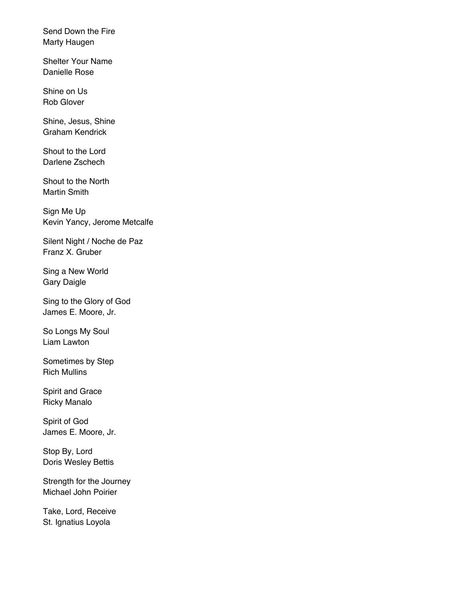Send Down the Fire Marty Haugen

Shelter Your Name Danielle Rose

Shine on Us Rob Glover

Shine, Jesus, Shine Graham Kendrick

Shout to the Lord Darlene Zschech

Shout to the North Martin Smith

Sign Me Up Kevin Yancy, Jerome Metcalfe

Silent Night / Noche de Paz Franz X. Gruber

Sing a New World Gary Daigle

Sing to the Glory of God James E. Moore, Jr.

So Longs My Soul Liam Lawton

Sometimes by Step Rich Mullins

Spirit and Grace Ricky Manalo

Spirit of God James E. Moore, Jr.

Stop By, Lord Doris Wesley Bettis

Strength for the Journey Michael John Poirier

Take, Lord, Receive St. Ignatius Loyola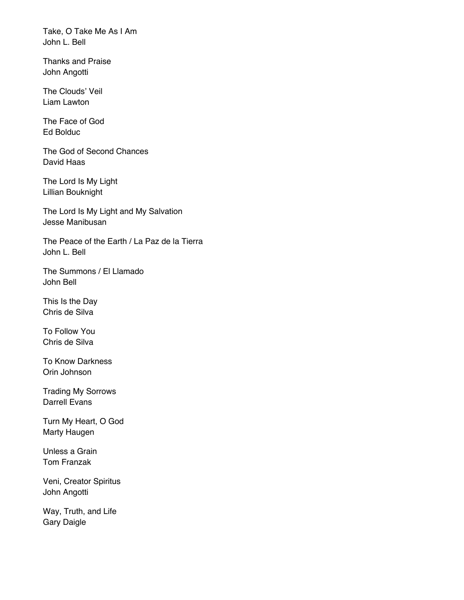Take, O Take Me As I Am John L. Bell

Thanks and Praise John Angotti

The Clouds' Veil Liam Lawton

The Face of God Ed Bolduc

The God of Second Chances David Haas

The Lord Is My Light Lillian Bouknight

The Lord Is My Light and My Salvation Jesse Manibusan

The Peace of the Earth / La Paz de la Tierra John L. Bell

The Summons / El Llamado John Bell

This Is the Day Chris de Silva

To Follow You Chris de Silva

To Know Darkness Orin Johnson

Trading My Sorrows Darrell Evans

Turn My Heart, O God Marty Haugen

Unless a Grain Tom Franzak

Veni, Creator Spiritus John Angotti

Way, Truth, and Life Gary Daigle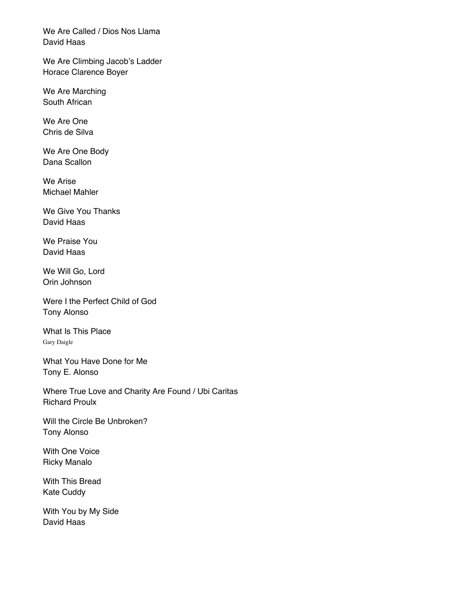We Are Called / Dios Nos Llama David Haas

We Are Climbing Jacob's Ladder Horace Clarence Boyer

We Are Marching South African

We Are One Chris de Silva

We Are One Body Dana Scallon

We Arise Michael Mahler

We Give You Thanks David Haas

We Praise You David Haas

We Will Go, Lord Orin Johnson

Were I the Perfect Child of God Tony Alonso

What Is This Place Gary Daigle

What You Have Done for Me Tony E. Alonso

Where True Love and Charity Are Found / Ubi Caritas Richard Proulx

Will the Circle Be Unbroken? Tony Alonso

With One Voice Ricky Manalo

With This Bread Kate Cuddy

With You by My Side David Haas